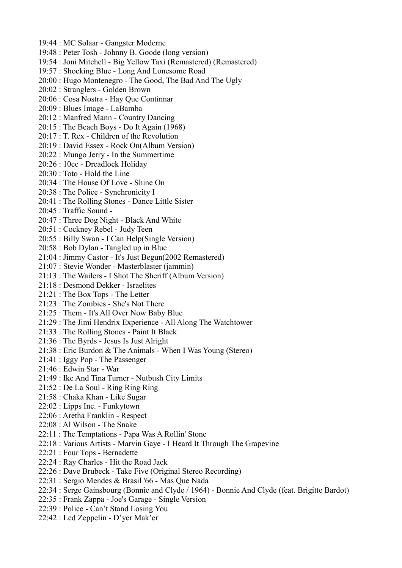- 19:44 : MC Solaar Gangster Moderne
- 19:48 : Peter Tosh Johnny B. Goode (long version)
- 19:54 : Joni Mitchell Big Yellow Taxi (Remastered) (Remastered)
- 19:57 : Shocking Blue Long And Lonesome Road
- 20:00 : Hugo Montenegro The Good, The Bad And The Ugly
- 20:02 : Stranglers Golden Brown
- 20:06 : Cosa Nostra Hay Que Continnar
- 20:09 : Blues Image LaBamba
- 20:12 : Manfred Mann Country Dancing
- 20:15 : The Beach Boys Do It Again (1968)
- 20:17 : T. Rex Children of the Revolution
- 20:19 : David Essex Rock On(Album Version)
- 20:22 : Mungo Jerry In the Summertime
- 20:26 : 10cc Dreadlock Holiday
- 20:30 : Toto Hold the Line
- 20:34 : The House Of Love Shine On
- 20:38 : The Police Synchronicity I
- 20:41 : The Rolling Stones Dance Little Sister
- 20:45 : Traffic Sound -
- 20:47 : Three Dog Night Black And White
- 20:51 : Cockney Rebel Judy Teen
- 20:55 : Billy Swan I Can Help(Single Version)
- 20:58 : Bob Dylan Tangled up in Blue
- 21:04 : Jimmy Castor It's Just Begun(2002 Remastered)
- 21:07 : Stevie Wonder Masterblaster (jammin)
- 21:13 : The Wailers I Shot The Sheriff (Album Version)
- 21:18 : Desmond Dekker Israelites
- 21:21 : The Box Tops The Letter
- 21:23 : The Zombies She's Not There
- 21:25 : Them It's All Over Now Baby Blue
- 21:29 : The Jimi Hendrix Experience All Along The Watchtower
- 21:33 : The Rolling Stones Paint It Black
- 21:36 : The Byrds Jesus Is Just Alright
- 21:38 : Eric Burdon & The Animals When I Was Young (Stereo)
- 21:41 : Iggy Pop The Passenger
- 21:46 : Edwin Star War
- 21:49 : Ike And Tina Turner Nutbush City Limits
- 21:52 : De La Soul Ring Ring Ring
- 21:58 : Chaka Khan Like Sugar
- 22:02 : Lipps Inc. Funkytown
- 22:06 : Aretha Franklin Respect
- 22:08 : Al Wilson The Snake
- 22:11 : The Temptations Papa Was A Rollin' Stone
- 22:18 : Various Artists Marvin Gaye I Heard It Through The Grapevine
- 22:21 : Four Tops Bernadette
- 22:24 : Ray Charles Hit the Road Jack
- 22:26 : Dave Brubeck Take Five (Original Stereo Recording)
- 22:31 : Sergio Mendes & Brasil '66 Mas Que Nada
- 22:34 : Serge Gainsbourg (Bonnie and Clyde / 1964) Bonnie And Clyde (feat. Brigitte Bardot)
- 22:35 : Frank Zappa Joe's Garage Single Version
- 22:39 : Police Can't Stand Losing You
- 22:42 : Led Zeppelin D'yer Mak'er